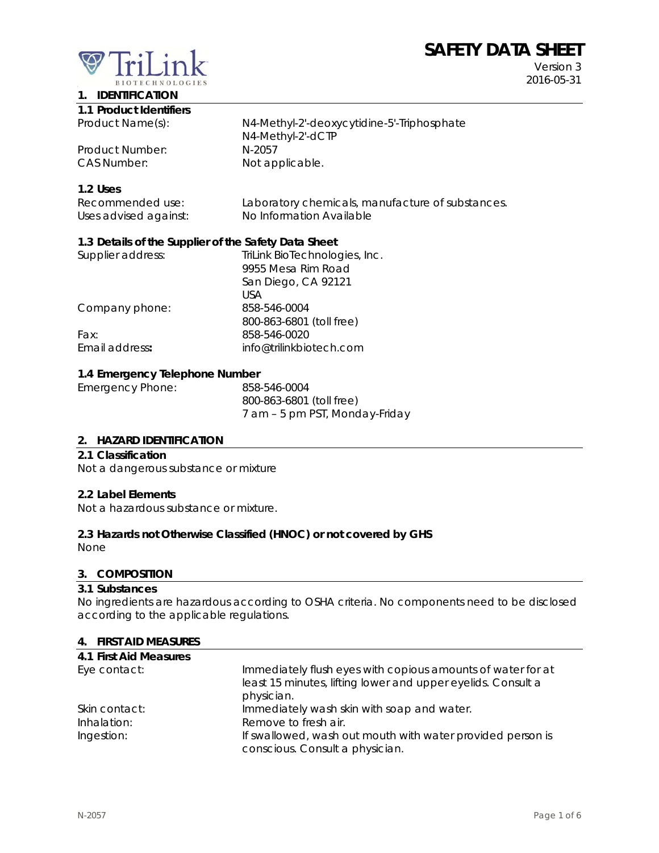# **SAFETY DATA SHEET**



Version 3 2016-05-31

# **1. IDENTIFICATION**

| 1.1 Product Identifiers |                                            |
|-------------------------|--------------------------------------------|
| Product Name(s):        | N4-Methyl-2'-deoxycytidine-5'-Triphosphate |
|                         | N4-Methyl-2'-dCTP                          |
| Product Number:         | N-2057                                     |
| CAS Number:             | Not applicable.                            |

#### **1.2 Uses**

| Recommended use:      | Laboratory chemicals, manufacture of substances. |
|-----------------------|--------------------------------------------------|
| Uses advised against: | No Information Available                         |

# **1.3 Details of the Supplier of the Safety Data Sheet**

| Supplier address: | TriLink BioTechnologies, Inc. |
|-------------------|-------------------------------|
|                   | 9955 Mesa Rim Road            |
|                   | San Diego, CA 92121           |
|                   | USA                           |
| Company phone:    | 858-546-0004                  |
|                   | 800-863-6801 (toll free)      |
| Fax:              | 858-546-0020                  |
| Email address:    | info@trilinkbiotech.com       |
|                   |                               |

#### **1.4 Emergency Telephone Number**

| Emergency Phone: | 858-546-0004                   |
|------------------|--------------------------------|
|                  | 800-863-6801 (toll free)       |
|                  | 7 am – 5 pm PST, Monday-Friday |

#### **2. HAZARD IDENTIFICATION**

#### **2.1 Classification**

Not a dangerous substance or mixture

#### **2.2 Label Elements**

Not a hazardous substance or mixture.

#### **2.3 Hazards not Otherwise Classified (HNOC) or not covered by GHS**

None

#### **3. COMPOSITION**

#### **3.1 Substances**

No ingredients are hazardous according to OSHA criteria. No components need to be disclosed according to the applicable regulations.

#### **4. FIRST AID MEASURES**

| 4.1 First Aid Measures |                                                              |
|------------------------|--------------------------------------------------------------|
| Eye contact:           | Immediately flush eyes with copious amounts of water for at  |
|                        | least 15 minutes, lifting lower and upper eyelids. Consult a |
|                        | physician.                                                   |
| Skin contact:          | Immediately wash skin with soap and water.                   |
| Inhalation:            | Remove to fresh air.                                         |
| Ingestion:             | If swallowed, wash out mouth with water provided person is   |
|                        | conscious. Consult a physician.                              |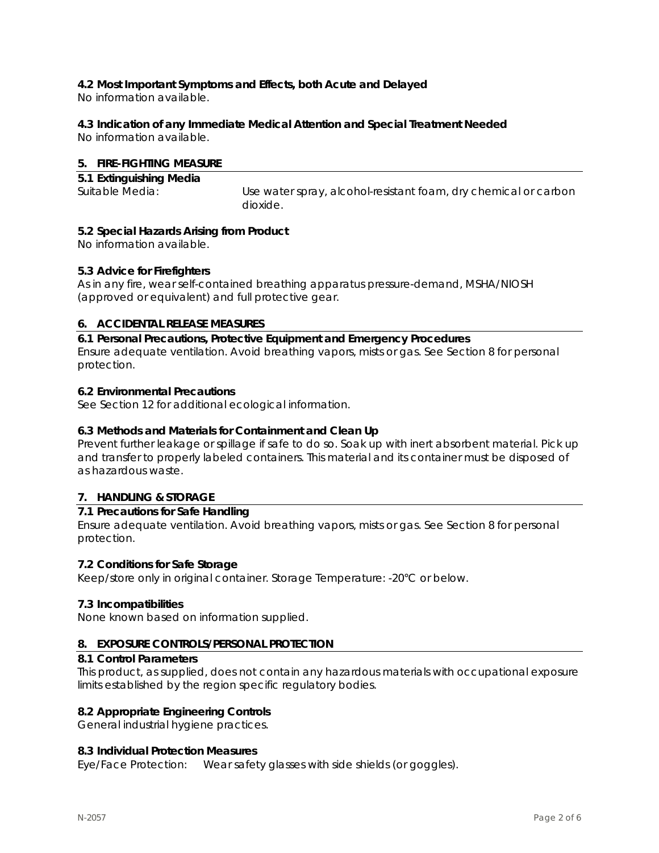# **4.2 Most Important Symptoms and Effects, both Acute and Delayed**

No information available.

# **4.3 Indication of any Immediate Medical Attention and Special Treatment Needed**

No information available.

# **5. FIRE-FIGHTING MEASURE**

| 5.1 Extinguishing Media |                                                                 |
|-------------------------|-----------------------------------------------------------------|
| Suitable Media:         | Use water spray, alcohol-resistant foam, dry chemical or carbon |
|                         | dioxide.                                                        |

# **5.2 Special Hazards Arising from Product**

No information available.

# **5.3 Advice for Firefighters**

As in any fire, wear self-contained breathing apparatus pressure-demand, MSHA/NIOSH (approved or equivalent) and full protective gear.

# **6. ACCIDENTAL RELEASE MEASURES**

**6.1 Personal Precautions, Protective Equipment and Emergency Procedures**  Ensure adequate ventilation. Avoid breathing vapors, mists or gas. See Section 8 for personal protection.

# **6.2 Environmental Precautions**

See Section 12 for additional ecological information.

# **6.3 Methods and Materials for Containment and Clean Up**

Prevent further leakage or spillage if safe to do so. Soak up with inert absorbent material. Pick up and transfer to properly labeled containers. This material and its container must be disposed of as hazardous waste.

# **7. HANDLING & STORAGE**

# **7.1 Precautions for Safe Handling**

Ensure adequate ventilation. Avoid breathing vapors, mists or gas. See Section 8 for personal protection.

# **7.2 Conditions for Safe Storage**

Keep/store only in original container. Storage Temperature: -20°C or below.

# **7.3 Incompatibilities**

None known based on information supplied.

# **8. EXPOSURE CONTROLS/PERSONAL PROTECTION**

#### **8.1 Control Parameters**

This product, as supplied, does not contain any hazardous materials with occupational exposure limits established by the region specific regulatory bodies.

# **8.2 Appropriate Engineering Controls**

General industrial hygiene practices.

# **8.3 Individual Protection Measures**

Eye/Face Protection: Wear safety glasses with side shields (or goggles).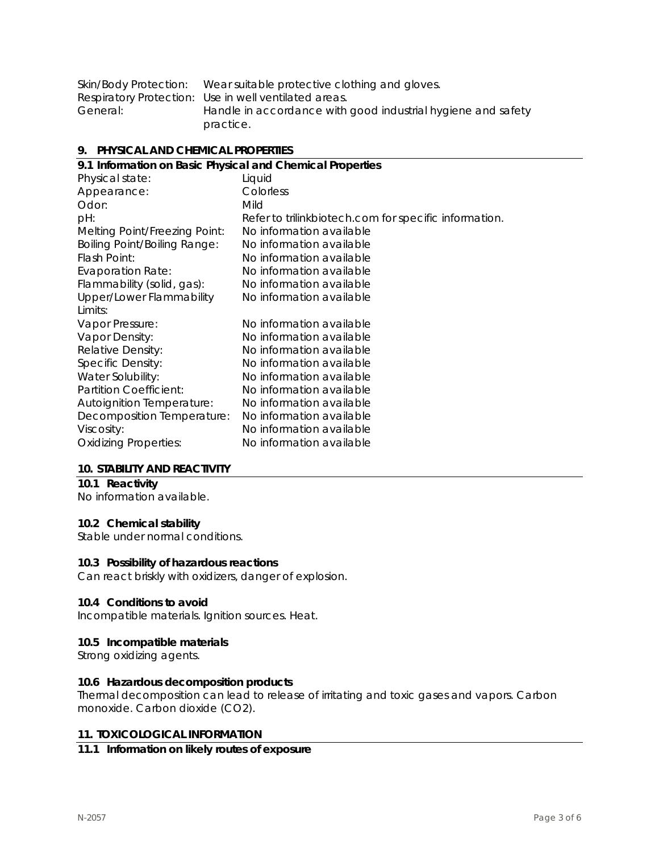| Skin/Body Protection: | Wear suitable protective clothing and gloves.                |
|-----------------------|--------------------------------------------------------------|
|                       | Respiratory Protection: Use in well ventilated areas.        |
| General:              | Handle in accordance with good industrial hygiene and safety |
|                       | practice.                                                    |

#### **9. PHYSICAL AND CHEMICAL PROPERTIES**

| 9.1 Information on Basic Physical and Chemical Properties |                                                       |  |  |
|-----------------------------------------------------------|-------------------------------------------------------|--|--|
| Physical state:                                           | Liquid                                                |  |  |
| Appearance:                                               | Colorless                                             |  |  |
| Odor:                                                     | Mild                                                  |  |  |
| pH:                                                       | Refer to trilinkbiotech.com for specific information. |  |  |
| Melting Point/Freezing Point:                             | No information available                              |  |  |
| <b>Boiling Point/Boiling Range:</b>                       | No information available                              |  |  |
| Flash Point:                                              | No information available                              |  |  |
| <b>Evaporation Rate:</b>                                  | No information available                              |  |  |
| Flammability (solid, gas):                                | No information available                              |  |  |
| Upper/Lower Flammability                                  | No information available                              |  |  |
| Limits:                                                   |                                                       |  |  |
| Vapor Pressure:                                           | No information available                              |  |  |
| Vapor Density:                                            | No information available                              |  |  |
| Relative Density:                                         | No information available                              |  |  |
| Specific Density:                                         | No information available                              |  |  |
| Water Solubility:                                         | No information available                              |  |  |
| Partition Coefficient:                                    | No information available                              |  |  |
| <b>Autoignition Temperature:</b>                          | No information available                              |  |  |
| Decomposition Temperature:                                | No information available                              |  |  |
| Viscosity:                                                | No information available                              |  |  |
| <b>Oxidizing Properties:</b>                              | No information available                              |  |  |
|                                                           |                                                       |  |  |

#### **10. STABILITY AND REACTIVITY**

# **10.1 Reactivity**

No information available.

# **10.2 Chemical stability**

Stable under normal conditions.

#### **10.3 Possibility of hazardous reactions**

Can react briskly with oxidizers, danger of explosion.

#### **10.4 Conditions to avoid**

Incompatible materials. Ignition sources. Heat.

#### **10.5 Incompatible materials**

Strong oxidizing agents.

#### **10.6 Hazardous decomposition products**

Thermal decomposition can lead to release of irritating and toxic gases and vapors. Carbon monoxide. Carbon dioxide (CO2).

#### **11. TOXICOLOGICAL INFORMATION**

# **11.1 Information on likely routes of exposure**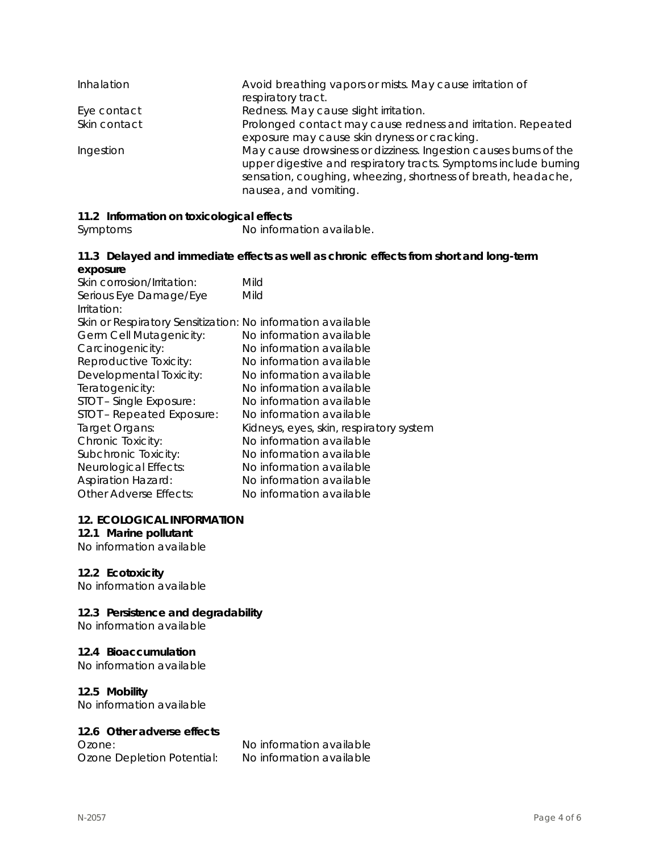| Inhalation   | Avoid breathing vapors or mists. May cause irritation of<br>respiratory tract.                                                                                                                                                 |
|--------------|--------------------------------------------------------------------------------------------------------------------------------------------------------------------------------------------------------------------------------|
| Eye contact  | Redness. May cause slight irritation.                                                                                                                                                                                          |
| Skin contact | Prolonged contact may cause redness and irritation. Repeated<br>exposure may cause skin dryness or cracking.                                                                                                                   |
| Ingestion    | May cause drowsiness or dizziness. Ingestion causes burns of the<br>upper digestive and respiratory tracts. Symptoms include burning<br>sensation, coughing, wheezing, shortness of breath, headache,<br>nausea, and vomiting. |

# **11.2 Information on toxicological effects**

Symptoms No information available.

#### **11.3 Delayed and immediate effects as well as chronic effects from short and long-term exposure**

| Skin corrosion/Irritation:                                  | Mild                                    |
|-------------------------------------------------------------|-----------------------------------------|
| Serious Eye Damage/Eye                                      | Mild                                    |
| Irritation:                                                 |                                         |
| Skin or Respiratory Sensitization: No information available |                                         |
| Germ Cell Mutagenicity:                                     | No information available                |
| Carcinogenicity:                                            | No information available                |
| Reproductive Toxicity:                                      | No information available                |
| Developmental Toxicity:                                     | No information available                |
| Teratogenicity:                                             | No information available                |
| STOT - Single Exposure:                                     | No information available                |
| STOT - Repeated Exposure:                                   | No information available                |
| Target Organs:                                              | Kidneys, eyes, skin, respiratory system |
| Chronic Toxicity:                                           | No information available                |
| Subchronic Toxicity:                                        | No information available                |
| Neurological Effects:                                       | No information available                |
| <b>Aspiration Hazard:</b>                                   | No information available                |
| Other Adverse Effects:                                      | No information available                |

#### **12. ECOLOGICAL INFORMATION**

# **12.1 Marine pollutant**

No information available

# **12.2 Ecotoxicity**

No information available

# **12.3 Persistence and degradability**

No information available

# **12.4 Bioaccumulation**

No information available

# **12.5 Mobility**

No information available

# **12.6 Other adverse effects**

Ozone Depletion Potential: No information available

Ozone: No information available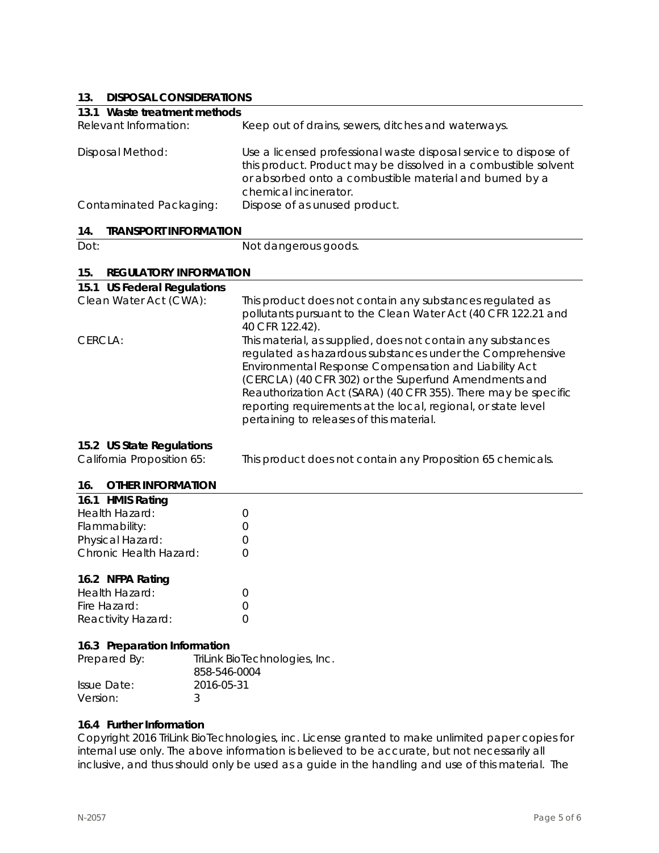# **13. DISPOSAL CONSIDERATIONS**

| IJ.<br><b>DISPOSAL CONSIDERATIONS</b>                   |                                                                                                                                                                                                                                                                                                                                                                                                                           |
|---------------------------------------------------------|---------------------------------------------------------------------------------------------------------------------------------------------------------------------------------------------------------------------------------------------------------------------------------------------------------------------------------------------------------------------------------------------------------------------------|
| 13.1 Waste treatment methods                            |                                                                                                                                                                                                                                                                                                                                                                                                                           |
| Relevant Information:                                   | Keep out of drains, sewers, ditches and waterways.                                                                                                                                                                                                                                                                                                                                                                        |
| <b>Disposal Method:</b>                                 | Use a licensed professional waste disposal service to dispose of<br>this product. Product may be dissolved in a combustible solvent<br>or absorbed onto a combustible material and burned by a<br>chemical incinerator.                                                                                                                                                                                                   |
| Contaminated Packaging:                                 | Dispose of as unused product.                                                                                                                                                                                                                                                                                                                                                                                             |
| 14.<br><b>TRANSPORT INFORMATION</b>                     |                                                                                                                                                                                                                                                                                                                                                                                                                           |
| Dot:                                                    | Not dangerous goods.                                                                                                                                                                                                                                                                                                                                                                                                      |
| 15.<br><b>REGULATORY INFORMATION</b>                    |                                                                                                                                                                                                                                                                                                                                                                                                                           |
| 15.1 US Federal Regulations                             |                                                                                                                                                                                                                                                                                                                                                                                                                           |
| Clean Water Act (CWA):                                  | This product does not contain any substances regulated as<br>pollutants pursuant to the Clean Water Act (40 CFR 122.21 and<br>40 CFR 122.42).                                                                                                                                                                                                                                                                             |
| CERCLA:                                                 | This material, as supplied, does not contain any substances<br>regulated as hazardous substances under the Comprehensive<br>Environmental Response Compensation and Liability Act<br>(CERCLA) (40 CFR 302) or the Superfund Amendments and<br>Reauthorization Act (SARA) (40 CFR 355). There may be specific<br>reporting requirements at the local, regional, or state level<br>pertaining to releases of this material. |
| 15.2 US State Regulations<br>California Proposition 65: | This product does not contain any Proposition 65 chemicals.                                                                                                                                                                                                                                                                                                                                                               |
| <b>OTHER INFORMATION</b><br>16.                         |                                                                                                                                                                                                                                                                                                                                                                                                                           |
|                                                         |                                                                                                                                                                                                                                                                                                                                                                                                                           |

| 16.1 HMIS Rating       |                  |
|------------------------|------------------|
| Health Hazard:         | $\left( \right)$ |
| Flammability:          | $\left( \right)$ |
| Physical Hazard:       | $\left( \right)$ |
| Chronic Health Hazard: | $\left( \right)$ |
|                        |                  |

# **16.2 NFPA Rating**

| Health Hazard:     |  |
|--------------------|--|
| Fire Hazard:       |  |
| Reactivity Hazard: |  |

#### **16.3 Preparation Information**

| Prepared By: | TriLink BioTechnologies, Inc.<br>858-546-0004 |
|--------------|-----------------------------------------------|
| Issue Date:  | 2016-05-31                                    |
| Version:     |                                               |

# **16.4 Further Information**

Copyright 2016 TriLink BioTechnologies, inc. License granted to make unlimited paper copies for internal use only. The above information is believed to be accurate, but not necessarily all inclusive, and thus should only be used as a guide in the handling and use of this material. The